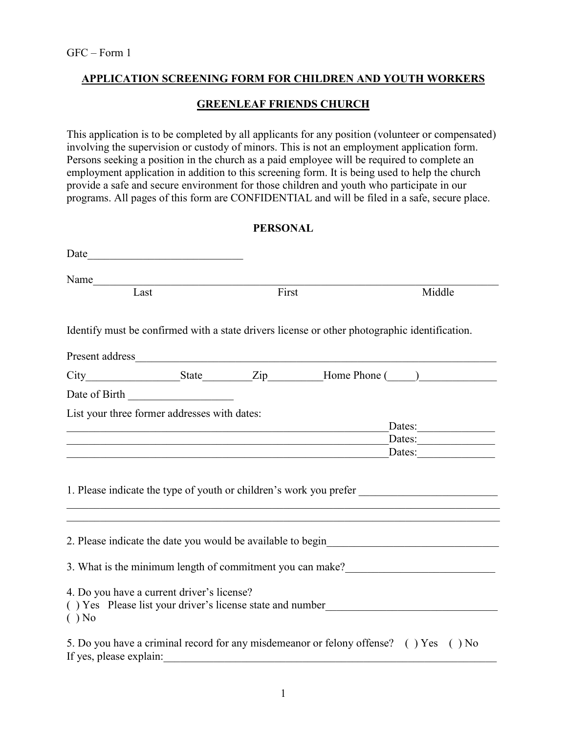## APPLICATION SCREENING FORM FOR CHILDREN AND YOUTH WORKERS

### GREENLEAF FRIENDS CHURCH

This application is to be completed by all applicants for any position (volunteer or compensated) involving the supervision or custody of minors. This is not an employment application form. Persons seeking a position in the church as a paid employee will be required to complete an employment application in addition to this screening form. It is being used to help the church provide a safe and secure environment for those children and youth who participate in our programs. All pages of this form are CONFIDENTIAL and will be filed in a safe, secure place.

#### PERSONAL

| Date have a series of the series of the series of the series of the series of the series of the series of the series of the series of the series of the series of the series of the series of the series of the series of the |                                                             |       |                                                                            |                                                                                               |
|-------------------------------------------------------------------------------------------------------------------------------------------------------------------------------------------------------------------------------|-------------------------------------------------------------|-------|----------------------------------------------------------------------------|-----------------------------------------------------------------------------------------------|
| Last                                                                                                                                                                                                                          |                                                             | First |                                                                            | Middle                                                                                        |
|                                                                                                                                                                                                                               |                                                             |       |                                                                            | Identify must be confirmed with a state drivers license or other photographic identification. |
|                                                                                                                                                                                                                               |                                                             |       |                                                                            |                                                                                               |
|                                                                                                                                                                                                                               |                                                             |       |                                                                            |                                                                                               |
| Date of Birth                                                                                                                                                                                                                 |                                                             |       |                                                                            |                                                                                               |
| List your three former addresses with dates:                                                                                                                                                                                  | <u> 1989 - Johann Stoff, amerikansk politiker (d. 1989)</u> |       | <u> 1989 - Johann Stein, mars an deus Amerikaansk kommunister (* 1958)</u> | Dates:<br>Dates:<br>Dates:                                                                    |
|                                                                                                                                                                                                                               |                                                             |       |                                                                            |                                                                                               |
|                                                                                                                                                                                                                               |                                                             |       |                                                                            | 2. Please indicate the date you would be available to begin______________________             |
|                                                                                                                                                                                                                               |                                                             |       |                                                                            | 3. What is the minimum length of commitment you can make?<br><u>Letting</u>                   |
| 4. Do you have a current driver's license?<br>$( )$ No                                                                                                                                                                        |                                                             |       |                                                                            | () Yes Please list your driver's license state and number                                     |
| If yes, please explain:                                                                                                                                                                                                       |                                                             |       |                                                                            | 5. Do you have a criminal record for any misdemeanor or felony offense? () Yes () No          |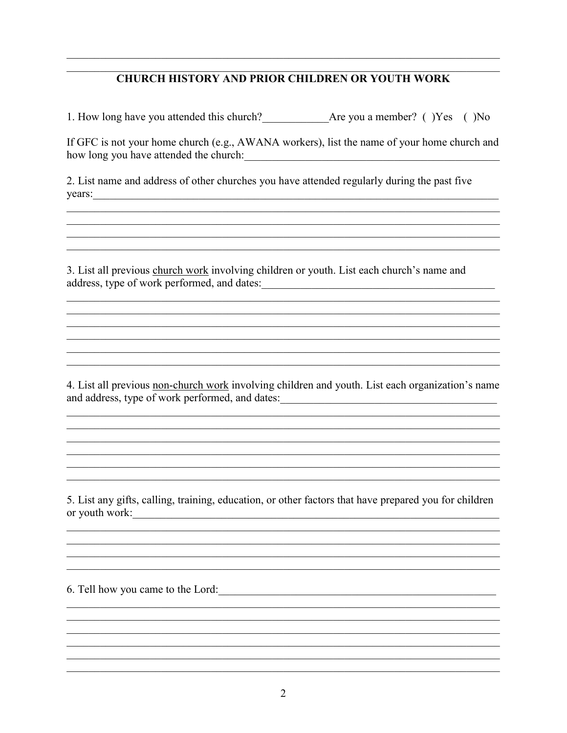# **CHURCH HISTORY AND PRIOR CHILDREN OR YOUTH WORK**

1. How long have you attended this church? Are you a member? () Yes () No

If GFC is not your home church (e.g., AWANA workers), list the name of your home church and 

<u> 1989 - Johann Stoff, deutscher Stoff, der Stoff, der Stoff, der Stoff, der Stoff, der Stoff, der Stoff, der S</u>

2. List name and address of other churches you have attended regularly during the past five  $\vee$  vears:

3. List all previous church work involving children or youth. List each church's name and address, type of work performed, and dates:

4. List all previous non-church work involving children and youth. List each organization's name and address, type of work performed, and dates:

5. List any gifts, calling, training, education, or other factors that have prepared you for children or youth work:

6. Tell how you came to the Lord: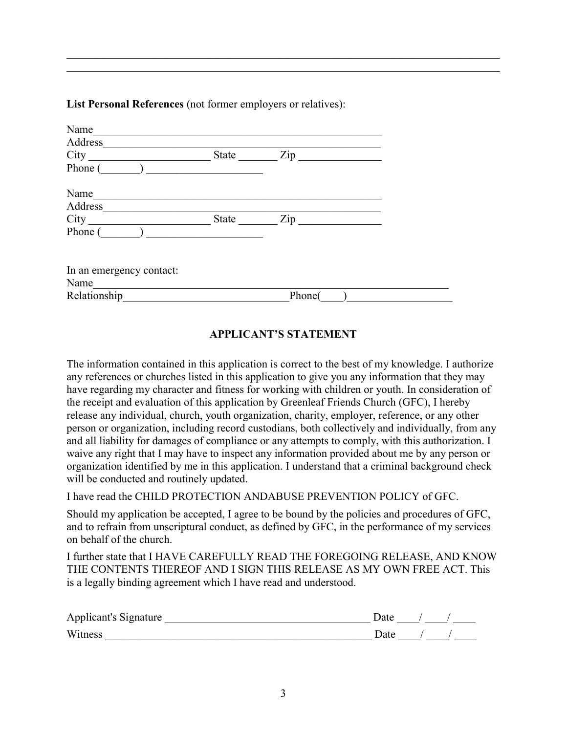List Personal References (not former employers or relatives):

| Name                     |       |        |  |
|--------------------------|-------|--------|--|
| Address                  |       |        |  |
| City                     | State | Zip    |  |
| Phone (                  |       |        |  |
| Name                     |       |        |  |
| Address                  |       |        |  |
| City                     | State | Zip    |  |
| Phone (                  |       |        |  |
| In an emergency contact: |       |        |  |
| Name                     |       |        |  |
| Relationship             |       | Phone( |  |

\_\_\_\_\_\_\_\_\_\_\_\_\_\_\_\_\_\_\_\_\_\_\_\_\_\_\_\_\_\_\_\_\_\_\_\_\_\_\_\_\_\_\_\_\_\_\_\_\_\_\_\_\_\_\_\_\_\_\_\_\_\_\_\_\_\_\_\_\_\_\_\_\_\_\_\_\_\_ \_\_\_\_\_\_\_\_\_\_\_\_\_\_\_\_\_\_\_\_\_\_\_\_\_\_\_\_\_\_\_\_\_\_\_\_\_\_\_\_\_\_\_\_\_\_\_\_\_\_\_\_\_\_\_\_\_\_\_\_\_\_\_\_\_\_\_\_\_\_\_\_\_\_\_\_\_\_

# APPLICANT'S STATEMENT

The information contained in this application is correct to the best of my knowledge. I authorize any references or churches listed in this application to give you any information that they may have regarding my character and fitness for working with children or youth. In consideration of the receipt and evaluation of this application by Greenleaf Friends Church (GFC), I hereby release any individual, church, youth organization, charity, employer, reference, or any other person or organization, including record custodians, both collectively and individually, from any and all liability for damages of compliance or any attempts to comply, with this authorization. I waive any right that I may have to inspect any information provided about me by any person or organization identified by me in this application. I understand that a criminal background check will be conducted and routinely updated.

I have read the CHILD PROTECTION ANDABUSE PREVENTION POLICY of GFC.

Should my application be accepted, I agree to be bound by the policies and procedures of GFC, and to refrain from unscriptural conduct, as defined by GFC, in the performance of my services on behalf of the church.

I further state that I HAVE CAREFULLY READ THE FOREGOING RELEASE, AND KNOW THE CONTENTS THEREOF AND I SIGN THIS RELEASE AS MY OWN FREE ACT. This is a legally binding agreement which I have read and understood.

| Applicant's Signature | )ate |  |  |
|-----------------------|------|--|--|
| Witness               | Date |  |  |